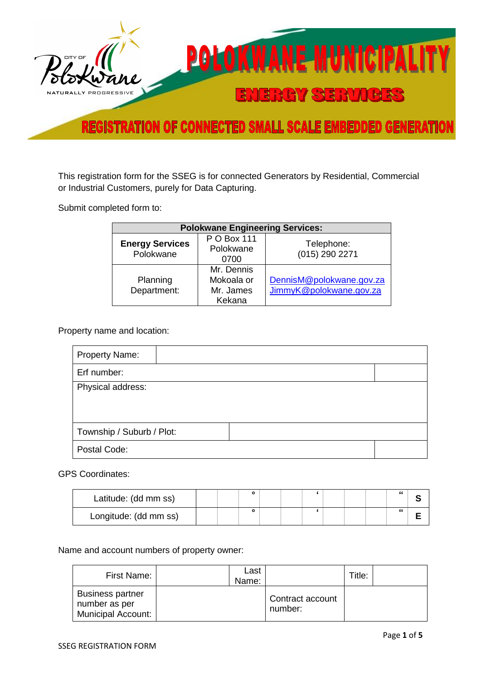

This registration form for the SSEG is for connected Generators by Residential, Commercial or Industrial Customers, purely for Data Capturing.

Submit completed form to:

| <b>Polokwane Engineering Services:</b> |                                                 |                                                     |  |  |  |
|----------------------------------------|-------------------------------------------------|-----------------------------------------------------|--|--|--|
| <b>Energy Services</b><br>Polokwane    | P O Box 111<br>Polokwane<br>0700                | Telephone:<br>(015) 290 2271                        |  |  |  |
| Planning<br>Department:                | Mr. Dennis<br>Mokoala or<br>Mr. James<br>Kekana | DennisM@polokwane.gov.za<br>JimmyK@polokwane.gov.za |  |  |  |

Property name and location:

| <b>Property Name:</b>     |  |
|---------------------------|--|
| Erf number:               |  |
| Physical address:         |  |
|                           |  |
|                           |  |
| Township / Suburb / Plot: |  |
| Postal Code:              |  |

GPS Coordinates:

| Latitude: (dd mm ss)  |  |  |  |  | " |  |
|-----------------------|--|--|--|--|---|--|
| Longitude: (dd mm ss) |  |  |  |  | " |  |

Name and account numbers of property owner:

| First Name:                                                           | Last<br>Name: |                             | Title: |
|-----------------------------------------------------------------------|---------------|-----------------------------|--------|
| <b>Business partner</b><br>number as per<br><b>Municipal Account:</b> |               | Contract account<br>number: |        |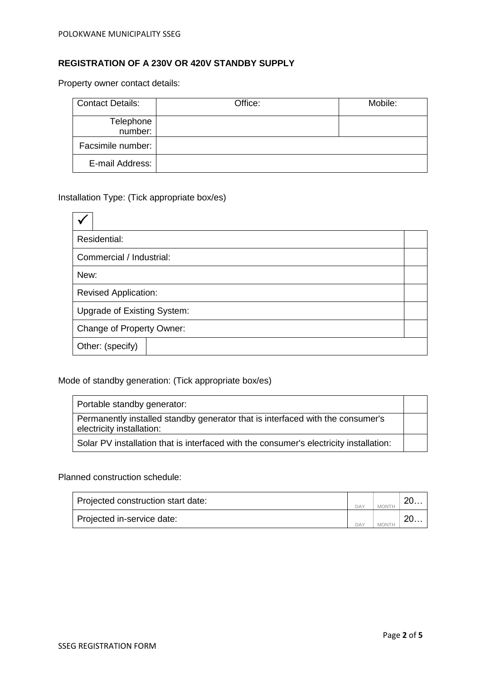## **REGISTRATION OF A 230V OR 420V STANDBY SUPPLY**

Property owner contact details:

| <b>Contact Details:</b> | Office: | Mobile: |
|-------------------------|---------|---------|
| Telephone<br>number:    |         |         |
| Facsimile number:       |         |         |
| E-mail Address:         |         |         |

## Installation Type: (Tick appropriate box/es)

| Residential:                |  |  |
|-----------------------------|--|--|
| Commercial / Industrial:    |  |  |
| New:                        |  |  |
| <b>Revised Application:</b> |  |  |
| Upgrade of Existing System: |  |  |
| Change of Property Owner:   |  |  |
| Other: (specify)            |  |  |

## Mode of standby generation: (Tick appropriate box/es)

| Portable standby generator:                                                                                 |  |
|-------------------------------------------------------------------------------------------------------------|--|
| Permanently installed standby generator that is interfaced with the consumer's<br>electricity installation: |  |
| Solar PV installation that is interfaced with the consumer's electricity installation:                      |  |

Planned construction schedule:

| Projected construction start date: | DAY | $\sim$ 40 |
|------------------------------------|-----|-----------|
| Projected in-service date:         | DAY |           |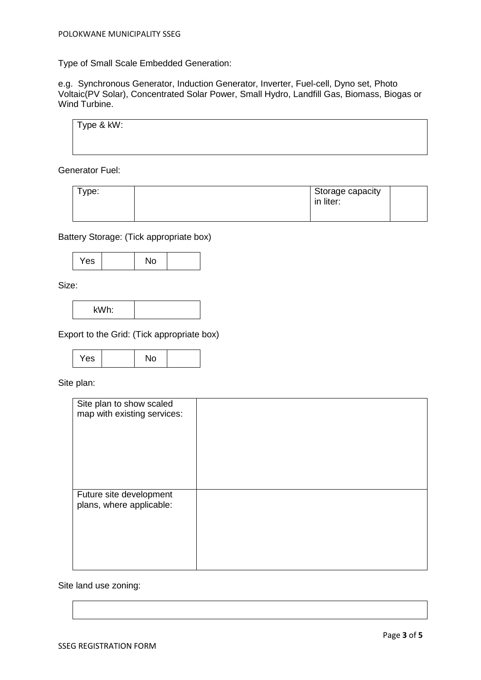Type of Small Scale Embedded Generation:

e.g. Synchronous Generator, Induction Generator, Inverter, Fuel-cell, Dyno set, Photo Voltaic(PV Solar), Concentrated Solar Power, Small Hydro, Landfill Gas, Biomass, Biogas or Wind Turbine.

| Type & kW: |  |  |
|------------|--|--|
|            |  |  |
|            |  |  |

Generator Fuel:

| vpe: | Storage capacity<br>in liter: |  |
|------|-------------------------------|--|
|------|-------------------------------|--|

Battery Storage: (Tick appropriate box)

$$
\begin{array}{|c|c|c|c|}\n\hline\n\text{Yes} & \text{No} \\
\hline\n\end{array}
$$

Size:

$$
\mathsf{kWh:}\qquad\qquad\qquad
$$

Export to the Grid: (Tick appropriate box)

| Yes<br>No |
|-----------|
|-----------|

Site plan:

| Site plan to show scaled<br>map with existing services: |  |
|---------------------------------------------------------|--|
| Future site development<br>plans, where applicable:     |  |

Site land use zoning: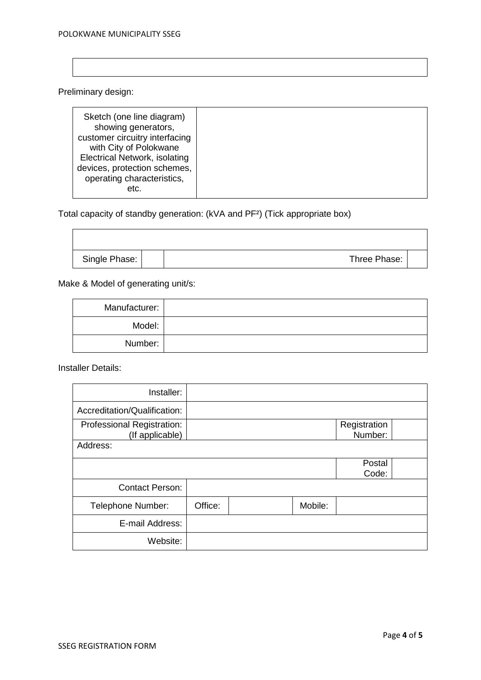Preliminary design:

| etc. | Sketch (one line diagram)<br>showing generators,<br>customer circuitry interfacing<br>with City of Polokwane<br><b>Electrical Network, isolating</b><br>devices, protection schemes, |
|------|--------------------------------------------------------------------------------------------------------------------------------------------------------------------------------------|
|      | operating characteristics,                                                                                                                                                           |

## Total capacity of standby generation: (kVA and PF²) (Tick appropriate box)

| Single Phase: | Three Phase: |  |
|---------------|--------------|--|

Make & Model of generating unit/s:

| Manufacturer: |  |
|---------------|--|
| Model:        |  |
| Number:       |  |

Installer Details:

 $\overline{\phantom{0}}$ 

| Installer:                                    |         |         |                         |  |
|-----------------------------------------------|---------|---------|-------------------------|--|
| Accreditation/Qualification:                  |         |         |                         |  |
| Professional Registration:<br>(If applicable) |         |         | Registration<br>Number: |  |
| Address:                                      |         |         |                         |  |
|                                               |         |         | Postal<br>Code:         |  |
| <b>Contact Person:</b>                        |         |         |                         |  |
| Telephone Number:                             | Office: | Mobile: |                         |  |
| E-mail Address:                               |         |         |                         |  |
| Website:                                      |         |         |                         |  |